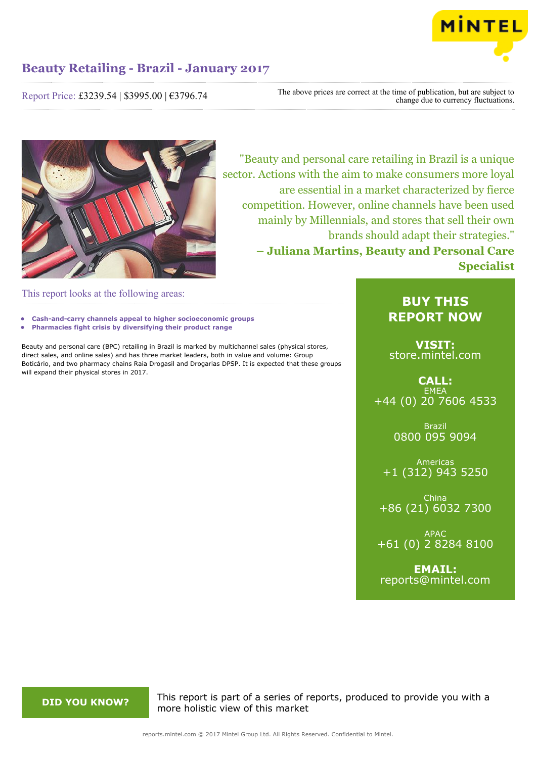

Report Price: £3239.54 | \$3995.00 | €3796.74

The above prices are correct at the time of publication, but are subject to change due to currency fluctuations.



"Beauty and personal care retailing in Brazil is a unique sector. Actions with the aim to make consumers more loyal are essential in a market characterized by fierce competition. However, online channels have been used mainly by Millennials, and stores that sell their own brands should adapt their strategies." **– Juliana Martins, Beauty and Personal Care Specialist**

This report looks at the following areas:

- **• Cash-and-carry channels appeal to higher socioeconomic groups**
- **• Pharmacies fight crisis by diversifying their product range**

Beauty and personal care (BPC) retailing in Brazil is marked by multichannel sales (physical stores, direct sales, and online sales) and has three market leaders, both in value and volume: Group Boticário, and two pharmacy chains Raia Drogasil and Drogarias DPSP. It is expected that these groups will expand their physical stores in 2017.

### **BUY THIS REPORT NOW**

**VISIT:** [store.mintel.com](http://reports.mintel.com//display/store/793611/)

**CALL: EMEA** +44 (0) 20 7606 4533

> Brazil 0800 095 9094

Americas +1 (312) 943 5250

China +86 (21) 6032 7300

APAC +61 (0) 2 8284 8100

**EMAIL:** [reports@mintel.com](mailto:reports@mintel.com)

**DID YOU KNOW?** This report is part of a series of reports, produced to provide you with a more holistic view of this market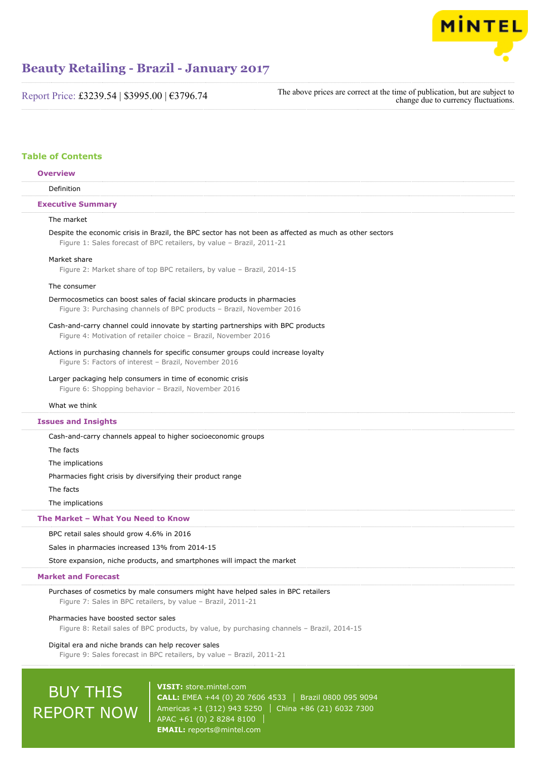

Report Price: £3239.54 | \$3995.00 | €3796.74

| The above prices are correct at the time of publication, but are subject to |
|-----------------------------------------------------------------------------|
| change due to currency fluctuations.                                        |

#### **Table of Contents**

| <b>Overview</b>          |  |
|--------------------------|--|
| Definition               |  |
| <b>Executive Summary</b> |  |
| The market               |  |

#### Despite the economic crisis in Brazil, the BPC sector has not been as affected as much as other sectors Figure 1: Sales forecast of BPC retailers, by value – Brazil, 2011-21

#### Market share

Figure 2: Market share of top BPC retailers, by value – Brazil, 2014-15

#### The consumer

#### Dermocosmetics can boost sales of facial skincare products in pharmacies

Figure 3: Purchasing channels of BPC products – Brazil, November 2016

#### Cash-and-carry channel could innovate by starting partnerships with BPC products Figure 4: Motivation of retailer choice – Brazil, November 2016

Actions in purchasing channels for specific consumer groups could increase loyalty Figure 5: Factors of interest – Brazil, November 2016

#### Larger packaging help consumers in time of economic crisis

Figure 6: Shopping behavior – Brazil, November 2016

#### What we think

#### **Issues and Insights**

Cash-and-carry channels appeal to higher socioeconomic groups

The facts

The implications

Pharmacies fight crisis by diversifying their product range

The facts

The implications

#### **The Market – What You Need to Know**

BPC retail sales should grow 4.6% in 2016

Sales in pharmacies increased 13% from 2014-15

Store expansion, niche products, and smartphones will impact the market

#### **Market and Forecast**

Purchases of cosmetics by male consumers might have helped sales in BPC retailers Figure 7: Sales in BPC retailers, by value – Brazil, 2011-21

#### Pharmacies have boosted sector sales

Figure 8: Retail sales of BPC products, by value, by purchasing channels – Brazil, 2014-15

#### Digital era and niche brands can help recover sales

Figure 9: Sales forecast in BPC retailers, by value – Brazil, 2011-21

# BUY THIS REPORT NOW

**VISIT:** [store.mintel.com](http://reports.mintel.com//display/store/793611/) **CALL:** EMEA +44 (0) 20 7606 4533 Brazil 0800 095 9094 Americas +1 (312) 943 5250 | China +86 (21) 6032 7300 APAC +61 (0) 2 8284 8100 **EMAIL:** [reports@mintel.com](mailto:reports@mintel.com)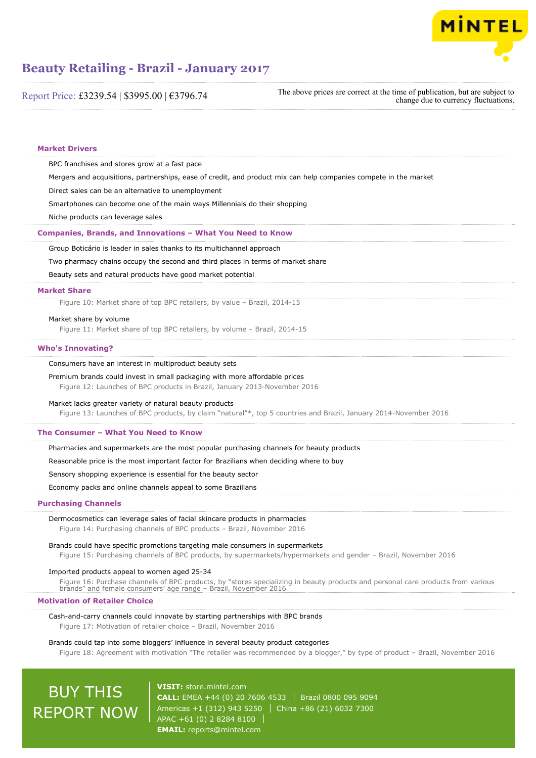

Report Price: £3239.54 | \$3995.00 | €3796.74

| The above prices are correct at the time of publication, but are subject to |
|-----------------------------------------------------------------------------|
| change due to currency fluctuations.                                        |

| <b>Market Drivers</b>      |                                                                                                                                                                                                                                                     |
|----------------------------|-----------------------------------------------------------------------------------------------------------------------------------------------------------------------------------------------------------------------------------------------------|
|                            | BPC franchises and stores grow at a fast pace                                                                                                                                                                                                       |
|                            | Mergers and acquisitions, partnerships, ease of credit, and product mix can help companies compete in the market                                                                                                                                    |
|                            | Direct sales can be an alternative to unemployment                                                                                                                                                                                                  |
|                            | Smartphones can become one of the main ways Millennials do their shopping                                                                                                                                                                           |
|                            | Niche products can leverage sales                                                                                                                                                                                                                   |
|                            | Companies, Brands, and Innovations - What You Need to Know                                                                                                                                                                                          |
|                            | Group Boticário is leader in sales thanks to its multichannel approach                                                                                                                                                                              |
|                            | Two pharmacy chains occupy the second and third places in terms of market share                                                                                                                                                                     |
|                            | Beauty sets and natural products have good market potential                                                                                                                                                                                         |
| <b>Market Share</b>        |                                                                                                                                                                                                                                                     |
|                            | Figure 10: Market share of top BPC retailers, by value - Brazil, 2014-15                                                                                                                                                                            |
|                            | Market share by volume                                                                                                                                                                                                                              |
|                            | Figure 11: Market share of top BPC retailers, by volume - Brazil, 2014-15                                                                                                                                                                           |
| <b>Who's Innovating?</b>   |                                                                                                                                                                                                                                                     |
|                            | Consumers have an interest in multiproduct beauty sets                                                                                                                                                                                              |
|                            | Premium brands could invest in small packaging with more affordable prices<br>Figure 12: Launches of BPC products in Brazil, January 2013-November 2016                                                                                             |
|                            | Market lacks greater variety of natural beauty products<br>Figure 13: Launches of BPC products, by claim "natural"*, top 5 countries and Brazil, January 2014-November 2016                                                                         |
|                            | The Consumer - What You Need to Know                                                                                                                                                                                                                |
|                            | Pharmacies and supermarkets are the most popular purchasing channels for beauty products                                                                                                                                                            |
|                            | Reasonable price is the most important factor for Brazilians when deciding where to buy                                                                                                                                                             |
|                            | Sensory shopping experience is essential for the beauty sector                                                                                                                                                                                      |
|                            | Economy packs and online channels appeal to some Brazilians                                                                                                                                                                                         |
| <b>Purchasing Channels</b> |                                                                                                                                                                                                                                                     |
|                            | Dermocosmetics can leverage sales of facial skincare products in pharmacies<br>Figure 14: Purchasing channels of BPC products - Brazil, November 2016                                                                                               |
|                            | Brands could have specific promotions targeting male consumers in supermarkets<br>Figure 15: Purchasing channels of BPC products, by supermarkets/hypermarkets and gender - Brazil, November 2016                                                   |
|                            | Imported products appeal to women aged 25-34<br>Figure 16: Purchase channels of BPC products, by "stores specializing in beauty products and personal care products from various<br>brands" and female consumers' age range - Brazil, November 2016 |
|                            | <b>Motivation of Retailer Choice</b>                                                                                                                                                                                                                |
|                            | Cash-and-carry channels could innovate by starting partnerships with BPC brands<br>Figure 17: Motivation of retailer choice - Brazil, November 2016                                                                                                 |
|                            | Brands could tap into some bloggers' influence in several beauty product categories                                                                                                                                                                 |

Figure 18: Agreement with motivation "The retailer was recommended by a blogger," by type of product – Brazil, November 2016

# BUY THIS REPORT NOW

**VISIT:** [store.mintel.com](http://reports.mintel.com//display/store/793611/) **CALL:** EMEA +44 (0) 20 7606 4533 | Brazil 0800 095 9094 Americas +1 (312) 943 5250 | China +86 (21) 6032 7300 APAC +61 (0) 2 8284 8100 **EMAIL:** [reports@mintel.com](mailto:reports@mintel.com)